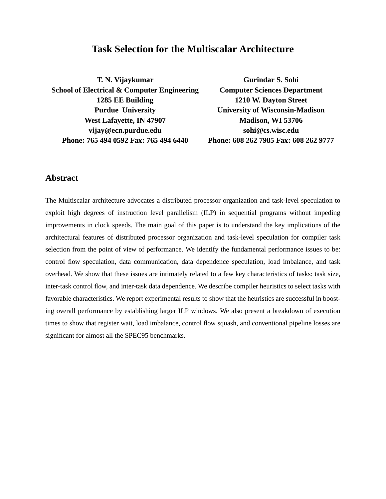# **Task Selection for the Multiscalar Architecture**

**T. N. Vijaykumar School of Electrical & Computer Engineering 1285 EE Building Purdue University West Lafayette, IN 47907 vijay@ecn.purdue.edu Phone: 765 494 0592 Fax: 765 494 6440 Gurindar S. Sohi Computer Sciences Department 1210 W. Dayton Street University of Wisconsin-Madison Madison, WI 53706 sohi@cs.wisc.edu Phone: 608 262 7985 Fax: 608 262 9777**

### **Abstract**

The Multiscalar architecture advocates a distributed processor organization and task-level speculation to exploit high degrees of instruction level parallelism (ILP) in sequential programs without impeding improvements in clock speeds. The main goal of this paper is to understand the key implications of the architectural features of distributed processor organization and task-level speculation for compiler task selection from the point of view of performance. We identify the fundamental performance issues to be: control flow speculation, data communication, data dependence speculation, load imbalance, and task overhead. We show that these issues are intimately related to a few key characteristics of tasks: task size, inter-task control flow, and inter-task data dependence. We describe compiler heuristics to select tasks with favorable characteristics. We report experimental results to show that the heuristics are successful in boosting overall performance by establishing larger ILP windows. We also present a breakdown of execution times to show that register wait, load imbalance, control flow squash, and conventional pipeline losses are significant for almost all the SPEC95 benchmarks.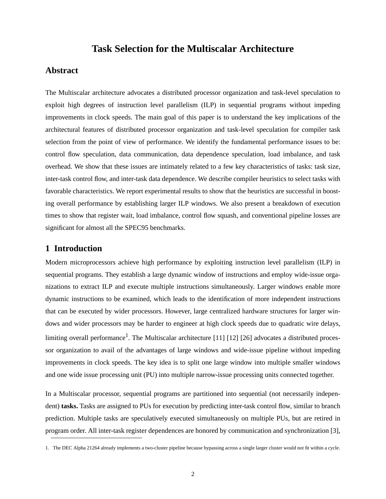# **Task Selection for the Multiscalar Architecture**

## **Abstract**

The Multiscalar architecture advocates a distributed processor organization and task-level speculation to exploit high degrees of instruction level parallelism (ILP) in sequential programs without impeding improvements in clock speeds. The main goal of this paper is to understand the key implications of the architectural features of distributed processor organization and task-level speculation for compiler task selection from the point of view of performance. We identify the fundamental performance issues to be: control flow speculation, data communication, data dependence speculation, load imbalance, and task overhead. We show that these issues are intimately related to a few key characteristics of tasks: task size, inter-task control flow, and inter-task data dependence. We describe compiler heuristics to select tasks with favorable characteristics. We report experimental results to show that the heuristics are successful in boosting overall performance by establishing larger ILP windows. We also present a breakdown of execution times to show that register wait, load imbalance, control flow squash, and conventional pipeline losses are significant for almost all the SPEC95 benchmarks.

#### **1 Introduction**

Modern microprocessors achieve high performance by exploiting instruction level parallelism (ILP) in sequential programs. They establish a large dynamic window of instructions and employ wide-issue organizations to extract ILP and execute multiple instructions simultaneously. Larger windows enable more dynamic instructions to be examined, which leads to the identification of more independent instructions that can be executed by wider processors. However, large centralized hardware structures for larger windows and wider processors may be harder to engineer at high clock speeds due to quadratic wire delays, limiting overall performance<sup>1</sup>. The Multiscalar architecture [11] [12] [26] advocates a distributed processor organization to avail of the advantages of large windows and wide-issue pipeline without impeding improvements in clock speeds. The key idea is to split one large window into multiple smaller windows and one wide issue processing unit (PU) into multiple narrow-issue processing units connected together.

In a Multiscalar processor, sequential programs are partitioned into sequential (not necessarily independent) **tasks.** Tasks are assigned to PUs for execution by predicting inter-task control flow, similar to branch prediction. Multiple tasks are speculatively executed simultaneously on multiple PUs, but are retired in program order. All inter-task register dependences are honored by communication and synchronization [3],

<sup>1.</sup> The DEC Alpha 21264 already implements a two-cluster pipeline because bypassing across a single larger cluster would not fit within a cycle.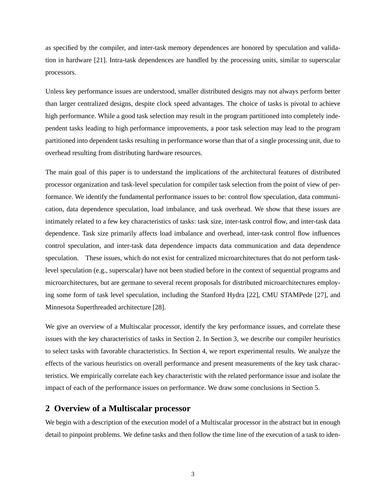as specified by the compiler, and inter-task memory dependences are honored by speculation and validation in hardware [21]. Intra-task dependences are handled by the processing units, similar to superscalar processors.

Unless key performance issues are understood, smaller distributed designs may not always perform better than larger centralized designs, despite clock speed advantages. The choice of tasks is pivotal to achieve high performance. While a good task selection may result in the program partitioned into completely independent tasks leading to high performance improvements, a poor task selection may lead to the program partitioned into dependent tasks resulting in performance worse than that of a single processing unit, due to overhead resulting from distributing hardware resources.

The main goal of this paper is to understand the implications of the architectural features of distributed processor organization and task-level speculation for compiler task selection from the point of view of performance. We identify the fundamental performance issues to be: control flow speculation, data communication, data dependence speculation, load imbalance, and task overhead. We show that these issues are intimately related to a few key characteristics of tasks: task size, inter-task control flow, and inter-task data dependence. Task size primarily affects load imbalance and overhead, inter-task control flow influences control speculation, and inter-task data dependence impacts data communication and data dependence speculation. These issues, which do not exist for centralized microarchitectures that do not perform tasklevel speculation (e.g., superscalar) have not been studied before in the context of sequential programs and microarchitectures, but are germane to several recent proposals for distributed microarchitectures employing some form of task level speculation, including the Stanford Hydra [22], CMU STAMPede [27], and Minnesota Superthreaded architecture [28].

We give an overview of a Multiscalar processor, identify the key performance issues, and correlate these issues with the key characteristics of tasks in [Section 2](#page-2-0). In [Section 3,](#page-11-0) we describe our compiler heuristics to select tasks with favorable characteristics. In [Section 4](#page-18-0), we report experimental results. We analyze the effects of the various heuristics on overall performance and present measurements of the key task characteristics. We empirically correlate each key characteristic with the related performance issue and isolate the impact of each of the performance issues on performance. We draw some conclusions in [Section 5.](#page-27-0)

## <span id="page-2-0"></span>**2 Overview of a Multiscalar processor**

We begin with a description of the execution model of a Multiscalar processor in the abstract but in enough detail to pinpoint problems. We define tasks and then follow the time line of the execution of a task to iden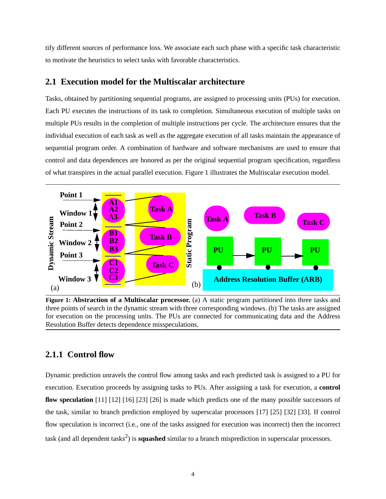tify different sources of performance loss. We associate each such phase with a specific task characteristic to motivate the heuristics to select tasks with favorable characteristics.

## **2.1 Execution model for the Multiscalar architecture**

Tasks, obtained by partitioning sequential programs, are assigned to processing units (PUs) for execution. Each PU executes the instructions of its task to completion. Simultaneous execution of multiple tasks on multiple PUs results in the completion of multiple instructions per cycle. The architecture ensures that the individual execution of each task as well as the aggregate execution of all tasks maintain the appearance of sequential program order. A combination of hardware and software mechanisms are used to ensure that control and data dependences are honored as per the original sequential program specification, regardless of what transpires in the actual parallel execution. [Figure 1](#page-3-0) illustrates the Multiscalar execution model.



<span id="page-3-0"></span>**Figure 1: Abstraction of a Multiscalar processor.** (a) A static program partitioned into three tasks and three points of search in the dynamic stream with three corresponding windows. (b) The tasks are assigned for execution on the processing units. The PUs are connected for communicating data and the Address Resolution Buffer detects dependence misspeculations.

# **2.1.1 Control flow**

Dynamic prediction unravels the control flow among tasks and each predicted task is assigned to a PU for execution. Execution proceeds by assigning tasks to PUs. After assigning a task for execution, a **control flow speculation** [11] [12] [16] [23] [26] is made which predicts one of the many possible successors of the task, similar to branch prediction employed by superscalar processors [17] [25] [32] [33]. If control flow speculation is incorrect (i.e., one of the tasks assigned for execution was incorrect) then the incorrect task (and all dependent tasks<sup>2</sup>) is **squashed** similar to a branch misprediction in superscalar processors.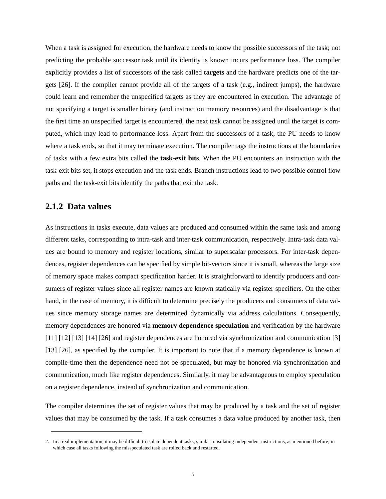When a task is assigned for execution, the hardware needs to know the possible successors of the task; not predicting the probable successor task until its identity is known incurs performance loss. The compiler explicitly provides a list of successors of the task called **targets** and the hardware predicts one of the targets [26]. If the compiler cannot provide all of the targets of a task (e.g., indirect jumps), the hardware could learn and remember the unspecified targets as they are encountered in execution. The advantage of not specifying a target is smaller binary (and instruction memory resources) and the disadvantage is that the first time an unspecified target is encountered, the next task cannot be assigned until the target is computed, which may lead to performance loss. Apart from the successors of a task, the PU needs to know where a task ends, so that it may terminate execution. The compiler tags the instructions at the boundaries of tasks with a few extra bits called the **task-exit bits**. When the PU encounters an instruction with the task-exit bits set, it stops execution and the task ends. Branch instructions lead to two possible control flow paths and the task-exit bits identify the paths that exit the task.

### **2.1.2 Data values**

As instructions in tasks execute, data values are produced and consumed within the same task and among different tasks, corresponding to intra-task and inter-task communication, respectively. Intra-task data values are bound to memory and register locations, similar to superscalar processors. For inter-task dependences, register dependences can be specified by simple bit-vectors since it is small, whereas the large size of memory space makes compact specification harder. It is straightforward to identify producers and consumers of register values since all register names are known statically via register specifiers. On the other hand, in the case of memory, it is difficult to determine precisely the producers and consumers of data values since memory storage names are determined dynamically via address calculations. Consequently, memory dependences are honored via **memory dependence speculation** and verification by the hardware [11] [12] [13] [14] [26] and register dependences are honored via synchronization and communication [3] [13] [26], as specified by the compiler. It is important to note that if a memory dependence is known at compile-time then the dependence need not be speculated, but may be honored via synchronization and communication, much like register dependences. Similarly, it may be advantageous to employ speculation on a register dependence, instead of synchronization and communication.

The compiler determines the set of register values that may be produced by a task and the set of register values that may be consumed by the task. If a task consumes a data value produced by another task, then

<sup>2.</sup> In a real implementation, it may be difficult to isolate dependent tasks, similar to isolating independent instructions, as mentioned before; in which case all tasks following the misspeculated task are rolled back and restarted.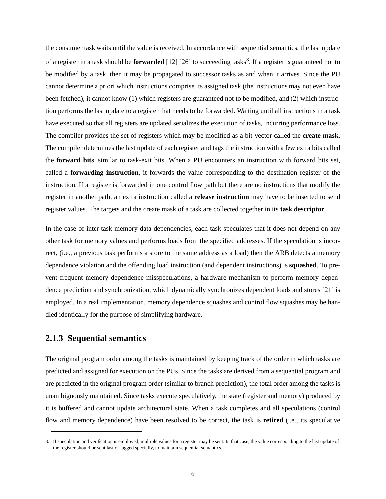the consumer task waits until the value is received. In accordance with sequential semantics, the last update of a register in a task should be **forwarded** [12] [26] to succeeding tasks<sup>3</sup>. If a register is guaranteed not to be modified by a task, then it may be propagated to successor tasks as and when it arrives. Since the PU cannot determine a priori which instructions comprise its assigned task (the instructions may not even have been fetched), it cannot know (1) which registers are guaranteed not to be modified, and (2) which instruction performs the last update to a register that needs to be forwarded. Waiting until all instructions in a task have executed so that all registers are updated serializes the execution of tasks, incurring performance loss. The compiler provides the set of registers which may be modified as a bit-vector called the **create mask**. The compiler determines the last update of each register and tags the instruction with a few extra bits called the **forward bits**, similar to task-exit bits. When a PU encounters an instruction with forward bits set, called a **forwarding instruction**, it forwards the value corresponding to the destination register of the instruction. If a register is forwarded in one control flow path but there are no instructions that modify the register in another path, an extra instruction called a **release instruction** may have to be inserted to send register values. The targets and the create mask of a task are collected together in its **task descriptor**.

In the case of inter-task memory data dependencies, each task speculates that it does not depend on any other task for memory values and performs loads from the specified addresses. If the speculation is incorrect, (i.e., a previous task performs a store to the same address as a load) then the ARB detects a memory dependence violation and the offending load instruction (and dependent instructions) is **squashed**. To prevent frequent memory dependence misspeculations, a hardware mechanism to perform memory dependence prediction and synchronization, which dynamically synchronizes dependent loads and stores [21] is employed. In a real implementation, memory dependence squashes and control flow squashes may be handled identically for the purpose of simplifying hardware.

# **2.1.3 Sequential semantics**

The original program order among the tasks is maintained by keeping track of the order in which tasks are predicted and assigned for execution on the PUs. Since the tasks are derived from a sequential program and are predicted in the original program order (similar to branch prediction), the total order among the tasks is unambiguously maintained. Since tasks execute speculatively, the state (register and memory) produced by it is buffered and cannot update architectural state. When a task completes and all speculations (control flow and memory dependence) have been resolved to be correct, the task is **retired** (i.e., its speculative

<sup>3.</sup> If speculation and verification is employed, multiple values for a register may be sent. In that case, the value corresponding to the last update of the register should be sent last or tagged specially, to maintain sequential semantics.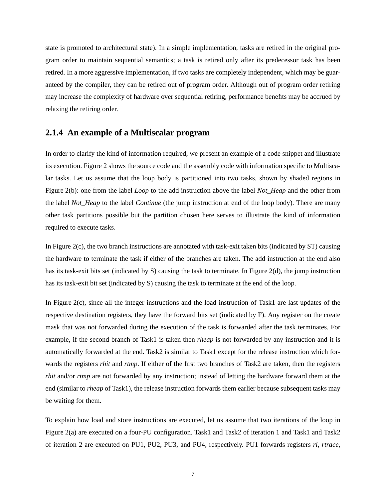state is promoted to architectural state). In a simple implementation, tasks are retired in the original program order to maintain sequential semantics; a task is retired only after its predecessor task has been retired. In a more aggressive implementation, if two tasks are completely independent, which may be guaranteed by the compiler, they can be retired out of program order. Although out of program order retiring may increase the complexity of hardware over sequential retiring, performance benefits may be accrued by relaxing the retiring order.

## **2.1.4 An example of a Multiscalar program**

In order to clarify the kind of information required, we present an example of a code snippet and illustrate its execution. [Figure 2](#page-7-0) shows the source code and the assembly code with information specific to Multiscalar tasks. Let us assume that the loop body is partitioned into two tasks, shown by shaded regions in [Figure 2\(](#page-7-0)b): one from the label *Loop* to the add instruction above the label *Not\_Heap* and the other from the label *Not\_Heap* to the label *Continue* (the jump instruction at end of the loop body). There are many other task partitions possible but the partition chosen here serves to illustrate the kind of information required to execute tasks.

In [Figure 2\(](#page-7-0)c), the two branch instructions are annotated with task-exit taken bits (indicated by ST) causing the hardware to terminate the task if either of the branches are taken. The add instruction at the end also has its task-exit bits set (indicated by S) causing the task to terminate. In [Figure 2\(](#page-7-0)d), the jump instruction has its task-exit bit set (indicated by S) causing the task to terminate at the end of the loop.

In [Figure 2\(](#page-7-0)c), since all the integer instructions and the load instruction of Task1 are last updates of the respective destination registers, they have the forward bits set (indicated by F). Any register on the create mask that was not forwarded during the execution of the task is forwarded after the task terminates. For example, if the second branch of Task1 is taken then *rheap* is not forwarded by any instruction and it is automatically forwarded at the end. Task2 is similar to Task1 except for the release instruction which forwards the registers *rhit* and *rtmp*. If either of the first two branches of Task2 are taken, then the registers *rhit* and/or *rtmp* are not forwarded by any instruction; instead of letting the hardware forward them at the end (similar to *rheap* of Task1), the release instruction forwards them earlier because subsequent tasks may be waiting for them.

To explain how load and store instructions are executed, let us assume that two iterations of the loop in [Figure 2\(](#page-7-0)a) are executed on a four-PU configuration. Task1 and Task2 of iteration 1 and Task1 and Task2 of iteration 2 are executed on PU1, PU2, PU3, and PU4, respectively. PU1 forwards registers *ri*, *rtrace*,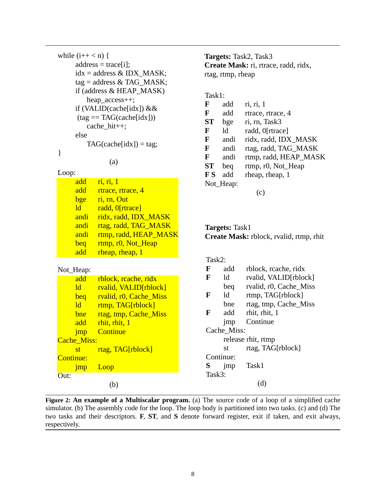```
while (i++ < n) {
     address = trace[i];idx = address & IDX MASK;
     tag = address & TAG\_MASK;if (address & HEAP_MASK)
        heap_access++;
     if (VALID(cache[idx]) &&
     (tag == TAG(cache[idx]))cache hit<sub>++;</sub>
     else
        TAG(cache[idx]) = tag;}
```
(a)

```
Loop:
```

| add                        | $\overline{\text{ri}}, \overline{\text{ri}}, 1$ |
|----------------------------|-------------------------------------------------|
| add                        | rtrace, rtrace, 4                               |
| bge                        | ri, rn, Out                                     |
| $\mathop{\rm Id}\nolimits$ | radd, O[rtrace]                                 |
| andi                       | ridx, radd, IDX MASK                            |
| andi                       | rtag, radd, TAG_MASK                            |
| andi                       | rtmp, radd, HEAP_MASK                           |
| beq                        | rtmp, r0, Not_Heap                              |
| add                        | rheap, rheap, 1                                 |
|                            |                                                 |

Not\_Heap:

| add                | rblock, reache, ridx   |  |
|--------------------|------------------------|--|
| ld                 | rvalid, VALID[rblock]  |  |
| beq                | rvalid, r0, Cache Miss |  |
| $\mathbf{Id}$      | rtmp, TAG[rblock]      |  |
| <b>bne</b>         | rtag, tmp, Cache_Miss  |  |
| add                | rhit, rhit, 1          |  |
| $\frac{1}{2}$      | Continue               |  |
| <b>Cache Miss:</b> |                        |  |
| st                 | rtag, TAG[rblock]      |  |
| Continue:          |                        |  |
| imp Loop           |                        |  |
| Out:               |                        |  |
|                    |                        |  |

**Targets:** Task2, Task3 **Create Mask:** ri, rtrace, radd, ridx, rtag, rtmp, rheap

# Task1:

| F              | add       | ri, ri, 1             |
|----------------|-----------|-----------------------|
| F              | add       | rtrace, rtrace, 4     |
| <b>ST</b>      | bge       | ri, rn, Task3         |
| F              | ld        | radd, 0[rtrace]       |
| F              | andi      | ridx, radd, IDX_MASK  |
| F              | andi      | rtag, radd, TAG_MASK  |
| F              | andi      | rtmp, radd, HEAP_MASK |
| <b>ST</b>      | beq       | rtmp, r0, Not_Heap    |
| F <sub>S</sub> | add       | rheap, rheap, 1       |
|                | Not_Heap: |                       |

(c)

### **Targets:** Task1 **Create Mask:** rblock, rvalid, rtmp, rhit

Task2: **F** add rblock, rcache, ridx **F** ld rvalid, VALID[rblock] beq rvalid, r0, Cache\_Miss **F** ld rtmp, TAG[rblock] bne rtag, tmp, Cache\_Miss **F** add rhit, rhit, 1 jmp Continue Cache\_Miss: release rhit, rtmp st rtag, TAG[rblock] Continue: **S** jmp Task1 Task3: (d)

<span id="page-7-0"></span>**Figure 2: An example of a Multiscalar program.** (a) The source code of a loop of a simplified cache simulator. (b) The assembly code for the loop. The loop body is partitioned into two tasks. (c) and (d) The two tasks and their descriptors. **F**, **ST**, and **S** denote forward register, exit if taken, and exit always, respectively.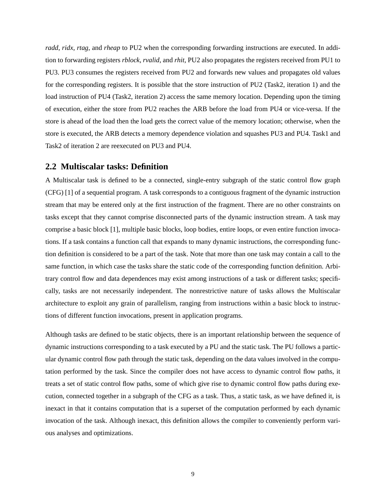*radd*, *ridx*, *rtag*, and *rheap* to PU2 when the corresponding forwarding instructions are executed. In addition to forwarding registers *rblock*, *rvalid*, and *rhit*, PU2 also propagates the registers received from PU1 to PU3. PU3 consumes the registers received from PU2 and forwards new values and propagates old values for the corresponding registers. It is possible that the store instruction of PU2 (Task2, iteration 1) and the load instruction of PU4 (Task2, iteration 2) access the same memory location. Depending upon the timing of execution, either the store from PU2 reaches the ARB before the load from PU4 or vice-versa. If the store is ahead of the load then the load gets the correct value of the memory location; otherwise, when the store is executed, the ARB detects a memory dependence violation and squashes PU3 and PU4. Task1 and Task2 of iteration 2 are reexecuted on PU3 and PU4.

#### **2.2 Multiscalar tasks: Definition**

A Multiscalar task is defined to be a connected, single-entry subgraph of the static control flow graph (CFG) [1] of a sequential program. A task corresponds to a contiguous fragment of the dynamic instruction stream that may be entered only at the first instruction of the fragment. There are no other constraints on tasks except that they cannot comprise disconnected parts of the dynamic instruction stream. A task may comprise a basic block [1], multiple basic blocks, loop bodies, entire loops, or even entire function invocations. If a task contains a function call that expands to many dynamic instructions, the corresponding function definition is considered to be a part of the task. Note that more than one task may contain a call to the same function, in which case the tasks share the static code of the corresponding function definition. Arbitrary control flow and data dependences may exist among instructions of a task or different tasks; specifically, tasks are not necessarily independent. The nonrestrictive nature of tasks allows the Multiscalar architecture to exploit any grain of parallelism, ranging from instructions within a basic block to instructions of different function invocations, present in application programs.

Although tasks are defined to be static objects, there is an important relationship between the sequence of dynamic instructions corresponding to a task executed by a PU and the static task. The PU follows a particular dynamic control flow path through the static task, depending on the data values involved in the computation performed by the task. Since the compiler does not have access to dynamic control flow paths, it treats a set of static control flow paths, some of which give rise to dynamic control flow paths during execution, connected together in a subgraph of the CFG as a task. Thus, a static task, as we have defined it, is inexact in that it contains computation that is a superset of the computation performed by each dynamic invocation of the task. Although inexact, this definition allows the compiler to conveniently perform various analyses and optimizations.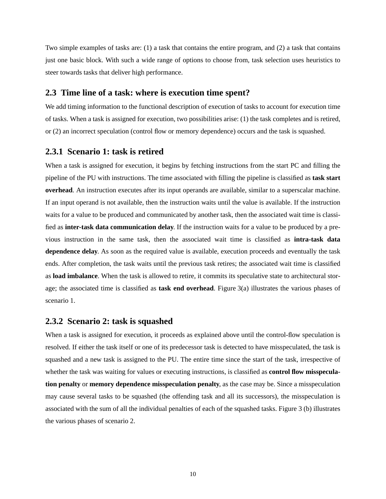Two simple examples of tasks are: (1) a task that contains the entire program, and (2) a task that contains just one basic block. With such a wide range of options to choose from, task selection uses heuristics to steer towards tasks that deliver high performance.

#### **2.3 Time line of a task: where is execution time spent?**

We add timing information to the functional description of execution of tasks to account for execution time of tasks. When a task is assigned for execution, two possibilities arise: (1) the task completes and is retired, or (2) an incorrect speculation (control flow or memory dependence) occurs and the task is squashed.

### **2.3.1 Scenario 1: task is retired**

When a task is assigned for execution, it begins by fetching instructions from the start PC and filling the pipeline of the PU with instructions. The time associated with filling the pipeline is classified as **task start overhead**. An instruction executes after its input operands are available, similar to a superscalar machine. If an input operand is not available, then the instruction waits until the value is available. If the instruction waits for a value to be produced and communicated by another task, then the associated wait time is classified as **inter-task data communication delay**. If the instruction waits for a value to be produced by a previous instruction in the same task, then the associated wait time is classified as **intra-task data dependence delay**. As soon as the required value is available, execution proceeds and eventually the task ends. After completion, the task waits until the previous task retires; the associated wait time is classified as **load imbalance**. When the task is allowed to retire, it commits its speculative state to architectural storage; the associated time is classified as **task end overhead**. [Figure 3](#page-10-0)(a) illustrates the various phases of scenario 1.

#### **2.3.2 Scenario 2: task is squashed**

When a task is assigned for execution, it proceeds as explained above until the control-flow speculation is resolved. If either the task itself or one of its predecessor task is detected to have misspeculated, the task is squashed and a new task is assigned to the PU. The entire time since the start of the task, irrespective of whether the task was waiting for values or executing instructions, is classified as **control flow misspeculation penalty** or **memory dependence misspeculation penalty**, as the case may be. Since a misspeculation may cause several tasks to be squashed (the offending task and all its successors), the misspeculation is associated with the sum of all the individual penalties of each of the squashed tasks. [Figure 3](#page-10-0) (b) illustrates the various phases of scenario 2.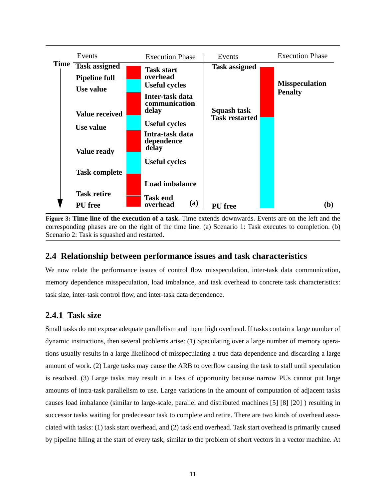

<span id="page-10-0"></span>**Figure 3: Time line of the execution of a task.** Time extends downwards. Events are on the left and the corresponding phases are on the right of the time line. (a) Scenario 1: Task executes to completion. (b) Scenario 2: Task is squashed and restarted.

# **2.4 Relationship between performance issues and task characteristics**

We now relate the performance issues of control flow misspeculation, inter-task data communication, memory dependence misspeculation, load imbalance, and task overhead to concrete task characteristics: task size, inter-task control flow, and inter-task data dependence.

# **2.4.1 Task size**

Small tasks do not expose adequate parallelism and incur high overhead. If tasks contain a large number of dynamic instructions, then several problems arise: (1) Speculating over a large number of memory operations usually results in a large likelihood of misspeculating a true data dependence and discarding a large amount of work. (2) Large tasks may cause the ARB to overflow causing the task to stall until speculation is resolved. (3) Large tasks may result in a loss of opportunity because narrow PUs cannot put large amounts of intra-task parallelism to use. Large variations in the amount of computation of adjacent tasks causes load imbalance (similar to large-scale, parallel and distributed machines [5] [8] [20] ) resulting in successor tasks waiting for predecessor task to complete and retire. There are two kinds of overhead associated with tasks: (1) task start overhead, and (2) task end overhead. Task start overhead is primarily caused by pipeline filling at the start of every task, similar to the problem of short vectors in a vector machine. At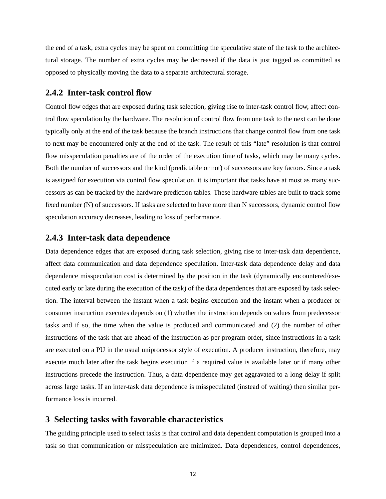the end of a task, extra cycles may be spent on committing the speculative state of the task to the architectural storage. The number of extra cycles may be decreased if the data is just tagged as committed as opposed to physically moving the data to a separate architectural storage.

#### **2.4.2 Inter-task control flow**

Control flow edges that are exposed during task selection, giving rise to inter-task control flow, affect control flow speculation by the hardware. The resolution of control flow from one task to the next can be done typically only at the end of the task because the branch instructions that change control flow from one task to next may be encountered only at the end of the task. The result of this "late" resolution is that control flow misspeculation penalties are of the order of the execution time of tasks, which may be many cycles. Both the number of successors and the kind (predictable or not) of successors are key factors. Since a task is assigned for execution via control flow speculation, it is important that tasks have at most as many successors as can be tracked by the hardware prediction tables. These hardware tables are built to track some fixed number (N) of successors. If tasks are selected to have more than N successors, dynamic control flow speculation accuracy decreases, leading to loss of performance.

#### **2.4.3 Inter-task data dependence**

Data dependence edges that are exposed during task selection, giving rise to inter-task data dependence, affect data communication and data dependence speculation. Inter-task data dependence delay and data dependence misspeculation cost is determined by the position in the task (dynamically encountered/executed early or late during the execution of the task) of the data dependences that are exposed by task selection. The interval between the instant when a task begins execution and the instant when a producer or consumer instruction executes depends on (1) whether the instruction depends on values from predecessor tasks and if so, the time when the value is produced and communicated and (2) the number of other instructions of the task that are ahead of the instruction as per program order, since instructions in a task are executed on a PU in the usual uniprocessor style of execution. A producer instruction, therefore, may execute much later after the task begins execution if a required value is available later or if many other instructions precede the instruction. Thus, a data dependence may get aggravated to a long delay if split across large tasks. If an inter-task data dependence is misspeculated (instead of waiting) then similar performance loss is incurred.

## <span id="page-11-0"></span>**3 Selecting tasks with favorable characteristics**

The guiding principle used to select tasks is that control and data dependent computation is grouped into a task so that communication or misspeculation are minimized. Data dependences, control dependences,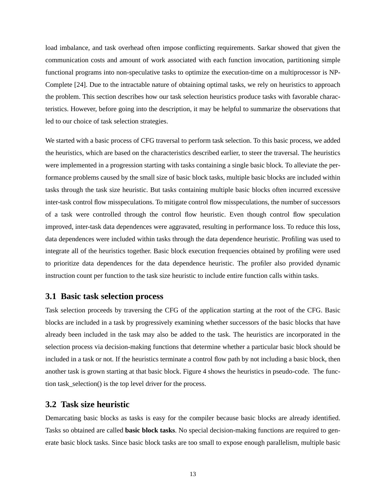load imbalance, and task overhead often impose conflicting requirements. Sarkar showed that given the communication costs and amount of work associated with each function invocation, partitioning simple functional programs into non-speculative tasks to optimize the execution-time on a multiprocessor is NP-Complete [24]. Due to the intractable nature of obtaining optimal tasks, we rely on heuristics to approach the problem. This section describes how our task selection heuristics produce tasks with favorable characteristics. However, before going into the description, it may be helpful to summarize the observations that led to our choice of task selection strategies.

We started with a basic process of CFG traversal to perform task selection. To this basic process, we added the heuristics, which are based on the characteristics described earlier, to steer the traversal. The heuristics were implemented in a progression starting with tasks containing a single basic block. To alleviate the performance problems caused by the small size of basic block tasks, multiple basic blocks are included within tasks through the task size heuristic. But tasks containing multiple basic blocks often incurred excessive inter-task control flow misspeculations. To mitigate control flow misspeculations, the number of successors of a task were controlled through the control flow heuristic. Even though control flow speculation improved, inter-task data dependences were aggravated, resulting in performance loss. To reduce this loss, data dependences were included within tasks through the data dependence heuristic. Profiling was used to integrate all of the heuristics together. Basic block execution frequencies obtained by profiling were used to prioritize data dependences for the data dependence heuristic. The profiler also provided dynamic instruction count per function to the task size heuristic to include entire function calls within tasks.

### **3.1 Basic task selection process**

Task selection proceeds by traversing the CFG of the application starting at the root of the CFG. Basic blocks are included in a task by progressively examining whether successors of the basic blocks that have already been included in the task may also be added to the task. The heuristics are incorporated in the selection process via decision-making functions that determine whether a particular basic block should be included in a task or not. If the heuristics terminate a control flow path by not including a basic block, then another task is grown starting at that basic block. [Figure 4](#page-13-0) shows the heuristics in pseudo-code. The function task\_selection() is the top level driver for the process.

## <span id="page-12-0"></span>**3.2 Task size heuristic**

Demarcating basic blocks as tasks is easy for the compiler because basic blocks are already identified. Tasks so obtained are called **basic block tasks**. No special decision-making functions are required to generate basic block tasks. Since basic block tasks are too small to expose enough parallelism, multiple basic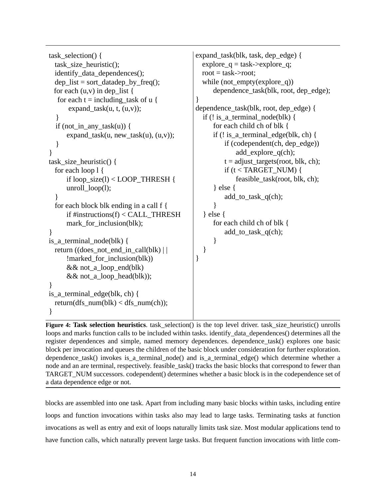```
task selection() {
 task size heuristic();
 identify data dependences();
 dep\_list = sort\_datadep\_by\_freq();for each (u,v) in dep list {
  for each t = \text{including\_task of } u {
      expand task(u, t, (u, v));
  }
  if (not_in_any_task(u)) {
     expand_task(u, new\_task(u), (u,v));}
}
task_size_heuristic() {
 for each loop l {
     if loop_size(l) < LOOP_THRESH {
     unroll loop(1);
  }
 for each block blk ending in a call f {
     if #instructions(f) < CALL_THRESH
      mark_for_inclusion(blk);
}
is a terminal node(blk) {
 return ((does not end in call(blk) ||!marked_for_inclusion(blk))
      & & x not a loop end(blk)
      & not_a_loop_head(blk));
}
is_a_terminal_edge(blk, ch) {
 return(dfs_number < dfs_number(ch));
}
                                                 expand_task(blk, task, dep_edge) {
                                                   explore_q = task->explore_q;root = task \rightarrow root;while (not_empty(explore_q))
                                                       dependence task(blk, root, dep edge);
                                                 }
                                                 dependence task(blk, root, dep edge) {
                                                   if (! is_a_terminal_node(blk) {
                                                       for each child ch of blk {
                                                       if (! is_a_terminal_edge(blk, ch) {
                                                          if (codependent(ch, dep_edge))
                                                              add_explore_q(ch);
                                                          t = adjust\_targets(root, blk, ch);if (t < TARGET NUM) {
                                                              feasible_task(root, blk, ch);
                                                       } else {
                                                          add_to_task_q(ch);
                                                       }
                                                   } else {
                                                       for each child ch of blk {
                                                          add_to_task_q(ch);
                                                       }
                                                   }
                                                 }
```
<span id="page-13-0"></span>**Figure 4: Task selection heuristics**. task\_selection() is the top level driver. task\_size\_heuristic() unrolls loops and marks function calls to be included within tasks, identify data dependences() determines all the register dependences and simple, named memory dependences, dependence task() explores one basic block per invocation and queues the children of the basic block under consideration for further exploration. dependence task() invokes is a terminal node() and is a terminal edge() which determine whether a node and an are terminal, respectively. feasible\_task() tracks the basic blocks that correspond to fewer than TARGET\_NUM successors. codependent() determines whether a basic block is in the codependence set of a data dependence edge or not.

blocks are assembled into one task. Apart from including many basic blocks within tasks, including entire loops and function invocations within tasks also may lead to large tasks. Terminating tasks at function invocations as well as entry and exit of loops naturally limits task size. Most modular applications tend to have function calls, which naturally prevent large tasks. But frequent function invocations with little com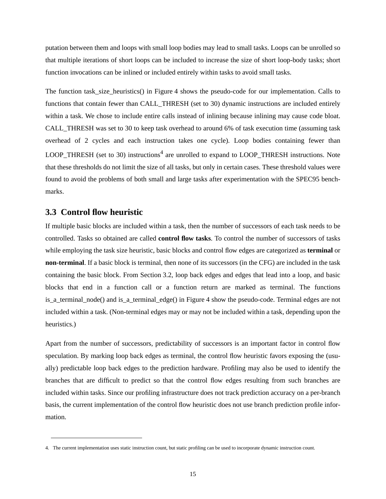putation between them and loops with small loop bodies may lead to small tasks. Loops can be unrolled so that multiple iterations of short loops can be included to increase the size of short loop-body tasks; short function invocations can be inlined or included entirely within tasks to avoid small tasks.

The function task size heuristics() in [Figure 4](#page-13-0) shows the pseudo-code for our implementation. Calls to functions that contain fewer than CALL\_THRESH (set to 30) dynamic instructions are included entirely within a task. We chose to include entire calls instead of inlining because inlining may cause code bloat. CALL\_THRESH was set to 30 to keep task overhead to around 6% of task execution time (assuming task overhead of 2 cycles and each instruction takes one cycle). Loop bodies containing fewer than LOOP THRESH (set to 30) instructions<sup>4</sup> are unrolled to expand to LOOP\_THRESH instructions. Note that these thresholds do not limit the size of all tasks, but only in certain cases. These threshold values were found to avoid the problems of both small and large tasks after experimentation with the SPEC95 benchmarks.

## **3.3 Control flow heuristic**

If multiple basic blocks are included within a task, then the number of successors of each task needs to be controlled. Tasks so obtained are called **control flow tasks**. To control the number of successors of tasks while employing the task size heuristic, basic blocks and control flow edges are categorized as **terminal** or **non-terminal**. If a basic block is terminal, then none of its successors (in the CFG) are included in the task containing the basic block. From [Section 3.2](#page-12-0), loop back edges and edges that lead into a loop, and basic blocks that end in a function call or a function return are marked as terminal. The functions is a terminal node() and is a terminal edge() in [Figure 4](#page-13-0) show the pseudo-code. Terminal edges are not included within a task. (Non-terminal edges may or may not be included within a task, depending upon the heuristics.)

Apart from the number of successors, predictability of successors is an important factor in control flow speculation. By marking loop back edges as terminal, the control flow heuristic favors exposing the (usually) predictable loop back edges to the prediction hardware. Profiling may also be used to identify the branches that are difficult to predict so that the control flow edges resulting from such branches are included within tasks. Since our profiling infrastructure does not track prediction accuracy on a per-branch basis, the current implementation of the control flow heuristic does not use branch prediction profile information.

<sup>4.</sup> The current implementation uses static instruction count, but static profiling can be used to incorporate dynamic instruction count.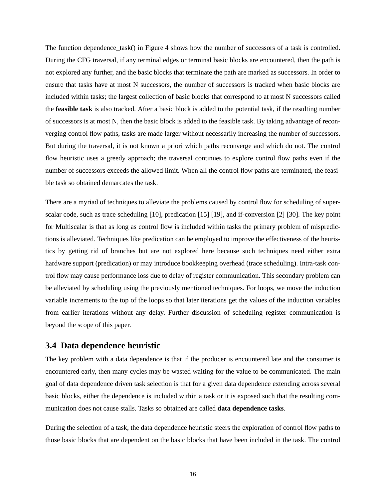The function dependence\_task() in [Figure 4](#page-13-0) shows how the number of successors of a task is controlled. During the CFG traversal, if any terminal edges or terminal basic blocks are encountered, then the path is not explored any further, and the basic blocks that terminate the path are marked as successors. In order to ensure that tasks have at most N successors, the number of successors is tracked when basic blocks are included within tasks; the largest collection of basic blocks that correspond to at most N successors called the **feasible task** is also tracked. After a basic block is added to the potential task, if the resulting number of successors is at most N, then the basic block is added to the feasible task. By taking advantage of reconverging control flow paths, tasks are made larger without necessarily increasing the number of successors. But during the traversal, it is not known a priori which paths reconverge and which do not. The control flow heuristic uses a greedy approach; the traversal continues to explore control flow paths even if the number of successors exceeds the allowed limit. When all the control flow paths are terminated, the feasible task so obtained demarcates the task.

There are a myriad of techniques to alleviate the problems caused by control flow for scheduling of superscalar code, such as trace scheduling [10], predication [15] [19], and if-conversion [2] [30]. The key point for Multiscalar is that as long as control flow is included within tasks the primary problem of mispredictions is alleviated. Techniques like predication can be employed to improve the effectiveness of the heuristics by getting rid of branches but are not explored here because such techniques need either extra hardware support (predication) or may introduce bookkeeping overhead (trace scheduling). Intra-task control flow may cause performance loss due to delay of register communication. This secondary problem can be alleviated by scheduling using the previously mentioned techniques. For loops, we move the induction variable increments to the top of the loops so that later iterations get the values of the induction variables from earlier iterations without any delay. Further discussion of scheduling register communication is beyond the scope of this paper.

#### **3.4 Data dependence heuristic**

The key problem with a data dependence is that if the producer is encountered late and the consumer is encountered early, then many cycles may be wasted waiting for the value to be communicated. The main goal of data dependence driven task selection is that for a given data dependence extending across several basic blocks, either the dependence is included within a task or it is exposed such that the resulting communication does not cause stalls. Tasks so obtained are called **data dependence tasks**.

During the selection of a task, the data dependence heuristic steers the exploration of control flow paths to those basic blocks that are dependent on the basic blocks that have been included in the task. The control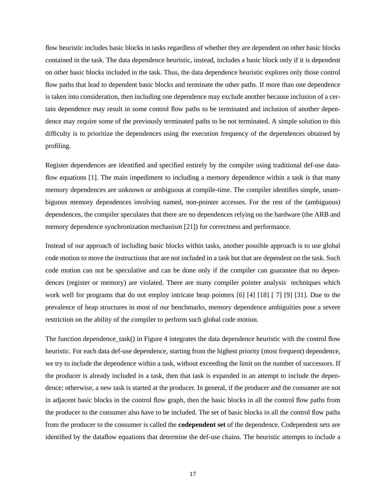flow heuristic includes basic blocks in tasks regardless of whether they are dependent on other basic blocks contained in the task. The data dependence heuristic, instead, includes a basic block only if it is dependent on other basic blocks included in the task. Thus, the data dependence heuristic explores only those control flow paths that lead to dependent basic blocks and terminate the other paths. If more than one dependence is taken into consideration, then including one dependence may exclude another because inclusion of a certain dependence may result in some control flow paths to be terminated and inclusion of another dependence may require some of the previously terminated paths to be not terminated. A simple solution to this difficulty is to prioritize the dependences using the execution frequency of the dependences obtained by profiling.

Register dependences are identified and specified entirely by the compiler using traditional def-use dataflow equations [1]. The main impediment to including a memory dependence within a task is that many memory dependences are unknown or ambiguous at compile-time. The compiler identifies simple, unambiguous memory dependences involving named, non-pointer accesses. For the rest of the (ambiguous) dependences, the compiler speculates that there are no dependences relying on the hardware (the ARB and memory dependence synchronization mechanism [21]) for correctness and performance.

Instead of our approach of including basic blocks within tasks, another possible approach is to use global code motion to move the instructions that are not included in a task but that are dependent on the task. Such code motion can not be speculative and can be done only if the compiler can guarantee that no dependences (register or memory) are violated. There are many compiler pointer analysis techniques which work well for programs that do not employ intricate heap pointers [6] [4] [18] [ 7] [9] [31]. Due to the prevalence of heap structures in most of our benchmarks, memory dependence ambiguities pose a severe restriction on the ability of the compiler to perform such global code motion.

The function dependence\_task() in [Figure 4](#page-13-0) integrates the data dependence heuristic with the control flow heuristic. For each data def-use dependence, starting from the highest priority (most frequent) dependence, we try to include the dependence within a task, without exceeding the limit on the number of successors. If the producer is already included in a task, then that task is expanded in an attempt to include the dependence; otherwise, a new task is started at the producer. In general, if the producer and the consumer are not in adjacent basic blocks in the control flow graph, then the basic blocks in all the control flow paths from the producer to the consumer also have to be included. The set of basic blocks in all the control flow paths from the producer to the consumer is called the **codependent set** of the dependence. Codependent sets are identified by the dataflow equations that determine the def-use chains. The heuristic attempts to include a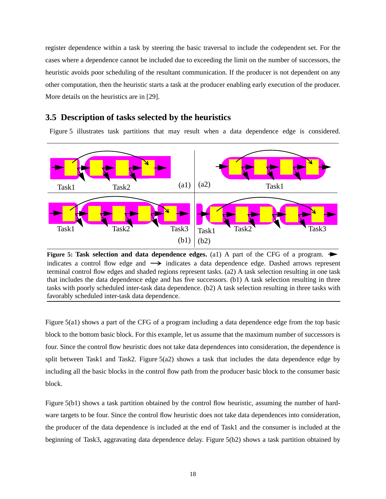register dependence within a task by steering the basic traversal to include the codependent set. For the cases where a dependence cannot be included due to exceeding the limit on the number of successors, the heuristic avoids poor scheduling of the resultant communication. If the producer is not dependent on any other computation, then the heuristic starts a task at the producer enabling early execution of the producer. More details on the heuristics are in [29].

# **3.5 Description of tasks selected by the heuristics**

[Figure 5](#page-17-0) illustrates task partitions that may result when a data dependence edge is considered.



<span id="page-17-0"></span>**Figure 5: Task selection and data dependence edges.** (a1) A part of the CFG of a program. indicates a control flow edge and  $\rightarrow$  indicates a data dependence edge. Dashed arrows represent terminal control flow edges and shaded regions represent tasks. (a2) A task selection resulting in one task that includes the data dependence edge and has five successors. (b1) A task selection resulting in three tasks with poorly scheduled inter-task data dependence. (b2) A task selection resulting in three tasks with favorably scheduled inter-task data dependence.

[Figure 5\(](#page-17-0)a1) shows a part of the CFG of a program including a data dependence edge from the top basic block to the bottom basic block. For this example, let us assume that the maximum number of successors is four. Since the control flow heuristic does not take data dependences into consideration, the dependence is split between Task1 and Task2. Figure  $5(a2)$  shows a task that includes the data dependence edge by including all the basic blocks in the control flow path from the producer basic block to the consumer basic block.

[Figure 5\(](#page-17-0)b1) shows a task partition obtained by the control flow heuristic, assuming the number of hardware targets to be four. Since the control flow heuristic does not take data dependences into consideration, the producer of the data dependence is included at the end of Task1 and the consumer is included at the beginning of Task3, aggravating data dependence delay. [Figure 5\(](#page-17-0)b2) shows a task partition obtained by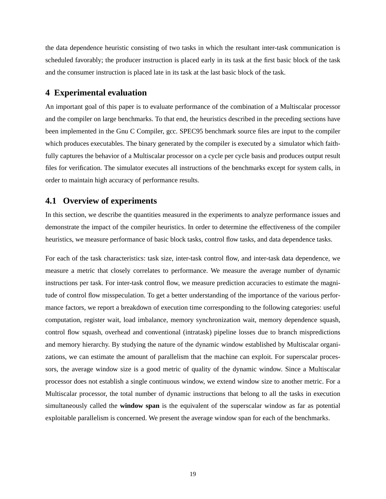the data dependence heuristic consisting of two tasks in which the resultant inter-task communication is scheduled favorably; the producer instruction is placed early in its task at the first basic block of the task and the consumer instruction is placed late in its task at the last basic block of the task.

## <span id="page-18-0"></span>**4 Experimental evaluation**

An important goal of this paper is to evaluate performance of the combination of a Multiscalar processor and the compiler on large benchmarks. To that end, the heuristics described in the preceding sections have been implemented in the Gnu C Compiler, gcc. SPEC95 benchmark source files are input to the compiler which produces executables. The binary generated by the compiler is executed by a simulator which faithfully captures the behavior of a Multiscalar processor on a cycle per cycle basis and produces output result files for verification. The simulator executes all instructions of the benchmarks except for system calls, in order to maintain high accuracy of performance results.

# **4.1 Overview of experiments**

In this section, we describe the quantities measured in the experiments to analyze performance issues and demonstrate the impact of the compiler heuristics. In order to determine the effectiveness of the compiler heuristics, we measure performance of basic block tasks, control flow tasks, and data dependence tasks.

For each of the task characteristics: task size, inter-task control flow, and inter-task data dependence, we measure a metric that closely correlates to performance. We measure the average number of dynamic instructions per task. For inter-task control flow, we measure prediction accuracies to estimate the magnitude of control flow misspeculation. To get a better understanding of the importance of the various performance factors, we report a breakdown of execution time corresponding to the following categories: useful computation, register wait, load imbalance, memory synchronization wait, memory dependence squash, control flow squash, overhead and conventional (intratask) pipeline losses due to branch mispredictions and memory hierarchy. By studying the nature of the dynamic window established by Multiscalar organizations, we can estimate the amount of parallelism that the machine can exploit. For superscalar processors, the average window size is a good metric of quality of the dynamic window. Since a Multiscalar processor does not establish a single continuous window, we extend window size to another metric. For a Multiscalar processor, the total number of dynamic instructions that belong to all the tasks in execution simultaneously called the **window span** is the equivalent of the superscalar window as far as potential exploitable parallelism is concerned. We present the average window span for each of the benchmarks.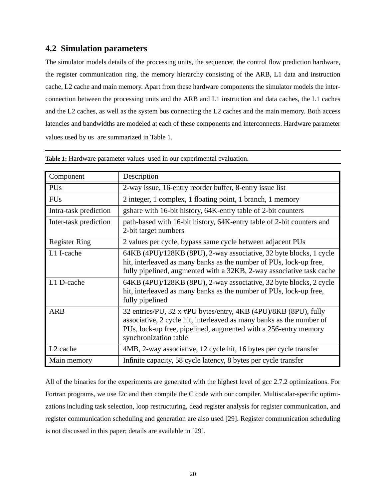# **4.2 Simulation parameters**

The simulator models details of the processing units, the sequencer, the control flow prediction hardware, the register communication ring, the memory hierarchy consisting of the ARB, L1 data and instruction cache, L2 cache and main memory. Apart from these hardware components the simulator models the interconnection between the processing units and the ARB and L1 instruction and data caches, the L1 caches and the L2 caches, as well as the system bus connecting the L2 caches and the main memory. Both access latencies and bandwidths are modeled at each of these components and interconnects. Hardware parameter values used by us are summarized in [Table 1.](#page-19-0)

| Component             | Description                                                                                                                                                                                                                         |  |  |  |  |  |
|-----------------------|-------------------------------------------------------------------------------------------------------------------------------------------------------------------------------------------------------------------------------------|--|--|--|--|--|
| PUs                   | 2-way issue, 16-entry reorder buffer, 8-entry issue list                                                                                                                                                                            |  |  |  |  |  |
| <b>FUs</b>            | 2 integer, 1 complex, 1 floating point, 1 branch, 1 memory                                                                                                                                                                          |  |  |  |  |  |
| Intra-task prediction | gshare with 16-bit history, 64K-entry table of 2-bit counters                                                                                                                                                                       |  |  |  |  |  |
| Inter-task prediction | path-based with 16-bit history, 64K-entry table of 2-bit counters and<br>2-bit target numbers                                                                                                                                       |  |  |  |  |  |
| <b>Register Ring</b>  | 2 values per cycle, bypass same cycle between adjacent PUs                                                                                                                                                                          |  |  |  |  |  |
| L1 I-cache            | 64KB (4PU)/128KB (8PU), 2-way associative, 32 byte blocks, 1 cycle<br>hit, interleaved as many banks as the number of PUs, lock-up free,<br>fully pipelined, augmented with a 32KB, 2-way associative task cache                    |  |  |  |  |  |
| L1 D-cache            | 64KB (4PU)/128KB (8PU), 2-way associative, 32 byte blocks, 2 cycle<br>hit, interleaved as many banks as the number of PUs, lock-up free,<br>fully pipelined                                                                         |  |  |  |  |  |
| <b>ARB</b>            | 32 entries/PU, 32 x #PU bytes/entry, 4KB (4PU)/8KB (8PU), fully<br>associative, 2 cycle hit, interleaved as many banks as the number of<br>PUs, lock-up free, pipelined, augmented with a 256-entry memory<br>synchronization table |  |  |  |  |  |
| L <sub>2</sub> cache  | 4MB, 2-way associative, 12 cycle hit, 16 bytes per cycle transfer                                                                                                                                                                   |  |  |  |  |  |
| Main memory           | Infinite capacity, 58 cycle latency, 8 bytes per cycle transfer                                                                                                                                                                     |  |  |  |  |  |

<span id="page-19-0"></span>**Table 1:** Hardware parameter values used in our experimental evaluation.

All of the binaries for the experiments are generated with the highest level of gcc 2.7.2 optimizations. For Fortran programs, we use f2c and then compile the C code with our compiler. Multiscalar-specific optimizations including task selection, loop restructuring, dead register analysis for register communication, and register communication scheduling and generation are also used [29]. Register communication scheduling is not discussed in this paper; details are available in [29].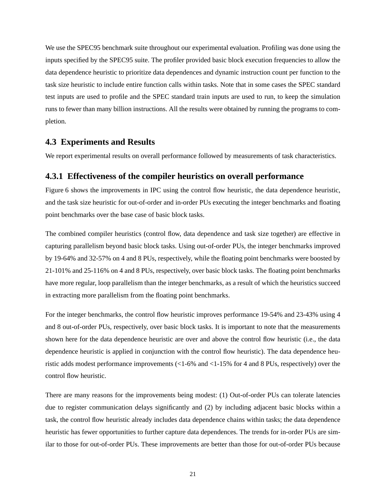We use the SPEC95 benchmark suite throughout our experimental evaluation. Profiling was done using the inputs specified by the SPEC95 suite. The profiler provided basic block execution frequencies to allow the data dependence heuristic to prioritize data dependences and dynamic instruction count per function to the task size heuristic to include entire function calls within tasks. Note that in some cases the SPEC standard test inputs are used to profile and the SPEC standard train inputs are used to run, to keep the simulation runs to fewer than many billion instructions. All the results were obtained by running the programs to completion.

# **4.3 Experiments and Results**

We report experimental results on overall performance followed by measurements of task characteristics.

### **4.3.1 Effectiveness of the compiler heuristics on overall performance**

[Figure 6](#page-21-0) shows the improvements in IPC using the control flow heuristic, the data dependence heuristic, and the task size heuristic for out-of-order and in-order PUs executing the integer benchmarks and floating point benchmarks over the base case of basic block tasks.

The combined compiler heuristics (control flow, data dependence and task size together) are effective in capturing parallelism beyond basic block tasks. Using out-of-order PUs, the integer benchmarks improved by 19-64% and 32-57% on 4 and 8 PUs, respectively, while the floating point benchmarks were boosted by 21-101% and 25-116% on 4 and 8 PUs, respectively, over basic block tasks. The floating point benchmarks have more regular, loop parallelism than the integer benchmarks, as a result of which the heuristics succeed in extracting more parallelism from the floating point benchmarks.

For the integer benchmarks, the control flow heuristic improves performance 19-54% and 23-43% using 4 and 8 out-of-order PUs, respectively, over basic block tasks. It is important to note that the measurements shown here for the data dependence heuristic are over and above the control flow heuristic (i.e., the data dependence heuristic is applied in conjunction with the control flow heuristic). The data dependence heuristic adds modest performance improvements (<1-6% and <1-15% for 4 and 8 PUs, respectively) over the control flow heuristic.

There are many reasons for the improvements being modest: (1) Out-of-order PUs can tolerate latencies due to register communication delays significantly and (2) by including adjacent basic blocks within a task, the control flow heuristic already includes data dependence chains within tasks; the data dependence heuristic has fewer opportunities to further capture data dependences. The trends for in-order PUs are similar to those for out-of-order PUs. These improvements are better than those for out-of-order PUs because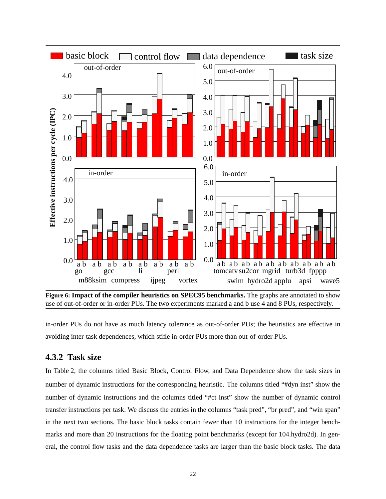

<span id="page-21-0"></span>**Figure 6: Impact of the compiler heuristics on SPEC95 benchmarks.** The graphs are annotated to show use of out-of-order or in-order PUs. The two experiments marked a and b use 4 and 8 PUs, respectively.

in-order PUs do not have as much latency tolerance as out-of-order PUs; the heuristics are effective in avoiding inter-task dependences, which stifle in-order PUs more than out-of-order PUs.

## **4.3.2 Task size**

In [Table 2,](#page-22-0) the columns titled Basic Block, Control Flow, and Data Dependence show the task sizes in number of dynamic instructions for the corresponding heuristic. The columns titled "#dyn inst" show the number of dynamic instructions and the columns titled "#ct inst" show the number of dynamic control transfer instructions per task. We discuss the entries in the columns "task pred", "br pred", and "win span" in the next two sections. The basic block tasks contain fewer than 10 instructions for the integer benchmarks and more than 20 instructions for the floating point benchmarks (except for 104.hydro2d). In general, the control flow tasks and the data dependence tasks are larger than the basic block tasks. The data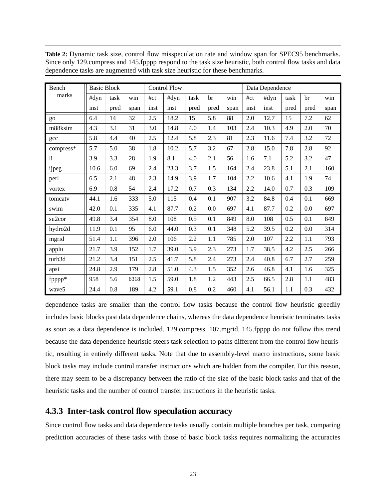| Bench               | <b>Basic Block</b> |      |      | <b>Control Flow</b> |      |      |      |      | Data Dependence |      |              |      |      |
|---------------------|--------------------|------|------|---------------------|------|------|------|------|-----------------|------|--------------|------|------|
| marks               | #dyn               | task | win  | #ct                 | #dyn | task | br   | win  | #ct             | #dyn | ${\rm task}$ | br   | win  |
|                     | inst               | pred | span | inst                | inst | pred | pred | span | inst            | inst | pred         | pred | span |
| $g_{0}$             | 6.4                | 14   | 32   | 2.5                 | 18.2 | 15   | 5.8  | 88   | 2.0             | 12.7 | 15           | 7.2  | 62   |
| m88ksim             | 4.3                | 3.1  | 31   | 3.0                 | 14.8 | 4.0  | 1.4  | 103  | 2.4             | 10.3 | 4.9          | 2.0  | 70   |
| gcc                 | 5.8                | 4.4  | 40   | 2.5                 | 12.4 | 5.8  | 2.3  | 81   | 2.3             | 11.6 | 7.4          | 3.2  | 72   |
| compress*           | 5.7                | 5.0  | 38   | 1.8                 | 10.2 | 5.7  | 3.2  | 67   | 2.8             | 15.0 | 7.8          | 2.8  | 92   |
| $\mathbf{li}$       | 3.9                | 3.3  | 28   | 1.9                 | 8.1  | 4.0  | 2.1  | 56   | 1.6             | 7.1  | 5.2          | 3.2  | 47   |
| ijpeg               | 10.6               | 6.0  | 69   | 2.4                 | 23.3 | 3.7  | 1.5  | 164  | 2.4             | 23.8 | 5.1          | 2.1  | 160  |
| perl                | 6.5                | 2.1  | 48   | 2.3                 | 14.9 | 3.9  | 1.7  | 104  | 2.2             | 10.6 | 4.1          | 1.9  | 74   |
| vortex              | 6.9                | 0.8  | 54   | 2.4                 | 17.2 | 0.7  | 0.3  | 134  | 2.2             | 14.0 | 0.7          | 0.3  | 109  |
| tomcatv             | 44.1               | 1.6  | 333  | 5.0                 | 115  | 0.4  | 0.1  | 907  | 3.2             | 84.8 | 0.4          | 0.1  | 669  |
| swim                | 42.0               | 0.1  | 335  | 4.1                 | 87.7 | 0.2  | 0.0  | 697  | 4.1             | 87.7 | 0.2          | 0.0  | 697  |
| su <sub>2</sub> cor | 49.8               | 3.4  | 354  | 8.0                 | 108  | 0.5  | 0.1  | 849  | 8.0             | 108  | 0.5          | 0.1  | 849  |
| hydro2d             | 11.9               | 0.1  | 95   | 6.0                 | 44.0 | 0.3  | 0.1  | 348  | 5.2             | 39.5 | 0.2          | 0.0  | 314  |
| mgrid               | 51.4               | 1.1  | 396  | 2.0                 | 106  | 2.2  | 1.1  | 785  | 2.0             | 107  | 2.2          | 1.1  | 793  |
| applu               | 21.7               | 3.9  | 152  | 1.7                 | 39.0 | 3.9  | 2.3  | 273  | 1.7             | 38.5 | 4.2          | 2.5  | 266  |
| turb3d              | 21.2               | 3.4  | 151  | 2.5                 | 41.7 | 5.8  | 2.4  | 273  | 2.4             | 40.8 | 6.7          | 2.7  | 259  |
| apsi                | 24.8               | 2.9  | 179  | 2.8                 | 51.0 | 4.3  | 1.5  | 352  | 2.6             | 46.8 | 4.1          | 1.6  | 325  |
| $\mathrm{fpppp^*}$  | 958                | 5.6  | 6318 | 1.5                 | 59.0 | 1.8  | 1.2  | 443  | 2.5             | 66.5 | 2.8          | 1.1  | 483  |
| wave5               | 24.4               | 0.8  | 189  | 4.2                 | 59.1 | 0.8  | 0.2  | 460  | 4.1             | 56.1 | 1.1          | 0.3  | 432  |

<span id="page-22-0"></span>**Table 2:** Dynamic task size, control flow misspeculation rate and window span for SPEC95 benchmarks. Since only 129.compress and 145.fpppp respond to the task size heuristic, both control flow tasks and data dependence tasks are augmented with task size heuristic for these benchmarks.

dependence tasks are smaller than the control flow tasks because the control flow heuristic greedily includes basic blocks past data dependence chains, whereas the data dependence heuristic terminates tasks as soon as a data dependence is included. 129.compress, 107.mgrid, 145.fpppp do not follow this trend because the data dependence heuristic steers task selection to paths different from the control flow heuristic, resulting in entirely different tasks. Note that due to assembly-level macro instructions, some basic block tasks may include control transfer instructions which are hidden from the compiler. For this reason, there may seem to be a discrepancy between the ratio of the size of the basic block tasks and that of the heuristic tasks and the number of control transfer instructions in the heuristic tasks.

# **4.3.3 Inter-task control flow speculation accuracy**

Since control flow tasks and data dependence tasks usually contain multiple branches per task, comparing prediction accuracies of these tasks with those of basic block tasks requires normalizing the accuracies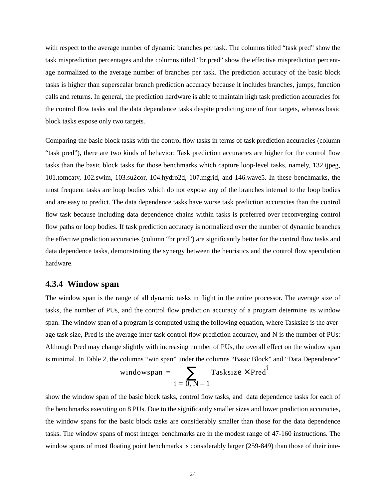with respect to the average number of dynamic branches per task. The columns titled "task pred" show the task misprediction percentages and the columns titled "br pred" show the effective misprediction percentage normalized to the average number of branches per task. The prediction accuracy of the basic block tasks is higher than superscalar branch prediction accuracy because it includes branches, jumps, function calls and returns. In general, the prediction hardware is able to maintain high task prediction accuracies for the control flow tasks and the data dependence tasks despite predicting one of four targets, whereas basic block tasks expose only two targets.

Comparing the basic block tasks with the control flow tasks in terms of task prediction accuracies (column "task pred"), there are two kinds of behavior: Task prediction accuracies are higher for the control flow tasks than the basic block tasks for those benchmarks which capture loop-level tasks, namely, 132.ijpeg, 101.tomcatv, 102.swim, 103.su2cor, 104.hydro2d, 107.mgrid, and 146.wave5. In these benchmarks, the most frequent tasks are loop bodies which do not expose any of the branches internal to the loop bodies and are easy to predict. The data dependence tasks have worse task prediction accuracies than the control flow task because including data dependence chains within tasks is preferred over reconverging control flow paths or loop bodies. If task prediction accuracy is normalized over the number of dynamic branches the effective prediction accuracies (column "br pred") are significantly better for the control flow tasks and data dependence tasks, demonstrating the synergy between the heuristics and the control flow speculation hardware.

#### **4.3.4 Window span**

The window span is the range of all dynamic tasks in flight in the entire processor. The average size of tasks, the number of PUs, and the control flow prediction accuracy of a program determine its window span. The window span of a program is computed using the following equation, where Tasksize is the average task size, Pred is the average inter-task control flow prediction accuracy, and N is the number of PUs: Although Pred may change slightly with increasing number of PUs, the overall effect on the window span is minimal. In [Table 2](#page-22-0), the columns "win span" under the columns "Basic Block" and "Data Dependence"

windowspan = 
$$
\sum_{i=0, N-1} \text{Tasksize} \times \text{Pred}^i
$$

show the window span of the basic block tasks, control flow tasks, and data dependence tasks for each of the benchmarks executing on 8 PUs. Due to the significantly smaller sizes and lower prediction accuracies, the window spans for the basic block tasks are considerably smaller than those for the data dependence tasks. The window spans of most integer benchmarks are in the modest range of 47-160 instructions. The window spans of most floating point benchmarks is considerably larger (259-849) than those of their inte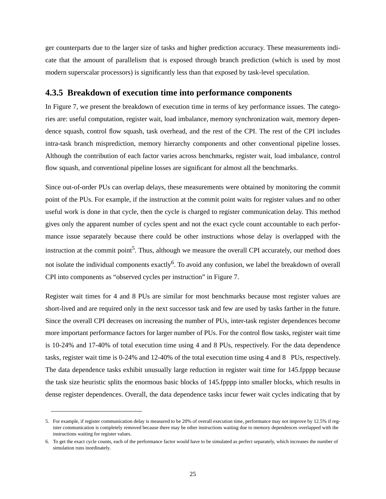ger counterparts due to the larger size of tasks and higher prediction accuracy. These measurements indicate that the amount of parallelism that is exposed through branch prediction (which is used by most modern superscalar processors) is significantly less than that exposed by task-level speculation.

### **4.3.5 Breakdown of execution time into performance components**

In [Figure 7](#page-26-0), we present the breakdown of execution time in terms of key performance issues. The categories are: useful computation, register wait, load imbalance, memory synchronization wait, memory dependence squash, control flow squash, task overhead, and the rest of the CPI. The rest of the CPI includes intra-task branch misprediction, memory hierarchy components and other conventional pipeline losses. Although the contribution of each factor varies across benchmarks, register wait, load imbalance, control flow squash, and conventional pipeline losses are significant for almost all the benchmarks.

Since out-of-order PUs can overlap delays, these measurements were obtained by monitoring the commit point of the PUs. For example, if the instruction at the commit point waits for register values and no other useful work is done in that cycle, then the cycle is charged to register communication delay. This method gives only the apparent number of cycles spent and not the exact cycle count accountable to each performance issue separately because there could be other instructions whose delay is overlapped with the instruction at the commit point<sup>5</sup>. Thus, although we measure the overall CPI accurately, our method does not isolate the individual components exactly<sup>6</sup>. To avoid any confusion, we label the breakdown of overall CPI into components as "observed cycles per instruction" in [Figure 7.](#page-26-0)

Register wait times for 4 and 8 PUs are similar for most benchmarks because most register values are short-lived and are required only in the next successor task and few are used by tasks farther in the future. Since the overall CPI decreases on increasing the number of PUs, inter-task register dependences become more important performance factors for larger number of PUs. For the control flow tasks, register wait time is 10-24% and 17-40% of total execution time using 4 and 8 PUs, respectively. For the data dependence tasks, register wait time is 0-24% and 12-40% of the total execution time using 4 and 8 PUs, respectively. The data dependence tasks exhibit unusually large reduction in register wait time for 145.fpppp because the task size heuristic splits the enormous basic blocks of 145.fpppp into smaller blocks, which results in dense register dependences. Overall, the data dependence tasks incur fewer wait cycles indicating that by

<sup>5.</sup> For example, if register communication delay is measured to be 20% of overall execution time, performance may not improve by 12.5% if register communication is completely removed because there may be other instructions waiting due to memory dependences overlapped with the instructions waiting for register values.

<sup>6.</sup> To get the exact cycle counts, each of the performance factor would have to be simulated as perfect separately, which increases the number of simulation runs inordinately.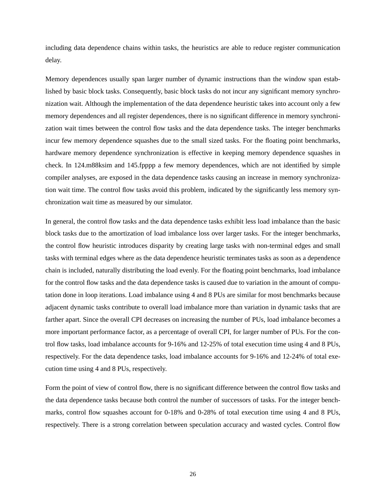including data dependence chains within tasks, the heuristics are able to reduce register communication delay.

Memory dependences usually span larger number of dynamic instructions than the window span established by basic block tasks. Consequently, basic block tasks do not incur any significant memory synchronization wait. Although the implementation of the data dependence heuristic takes into account only a few memory dependences and all register dependences, there is no significant difference in memory synchronization wait times between the control flow tasks and the data dependence tasks. The integer benchmarks incur few memory dependence squashes due to the small sized tasks. For the floating point benchmarks, hardware memory dependence synchronization is effective in keeping memory dependence squashes in check. In 124.m88ksim and 145.fpppp a few memory dependences, which are not identified by simple compiler analyses, are exposed in the data dependence tasks causing an increase in memory synchronization wait time. The control flow tasks avoid this problem, indicated by the significantly less memory synchronization wait time as measured by our simulator.

In general, the control flow tasks and the data dependence tasks exhibit less load imbalance than the basic block tasks due to the amortization of load imbalance loss over larger tasks. For the integer benchmarks, the control flow heuristic introduces disparity by creating large tasks with non-terminal edges and small tasks with terminal edges where as the data dependence heuristic terminates tasks as soon as a dependence chain is included, naturally distributing the load evenly. For the floating point benchmarks, load imbalance for the control flow tasks and the data dependence tasks is caused due to variation in the amount of computation done in loop iterations. Load imbalance using 4 and 8 PUs are similar for most benchmarks because adjacent dynamic tasks contribute to overall load imbalance more than variation in dynamic tasks that are farther apart. Since the overall CPI decreases on increasing the number of PUs, load imbalance becomes a more important performance factor, as a percentage of overall CPI, for larger number of PUs. For the control flow tasks, load imbalance accounts for 9-16% and 12-25% of total execution time using 4 and 8 PUs, respectively. For the data dependence tasks, load imbalance accounts for 9-16% and 12-24% of total execution time using 4 and 8 PUs, respectively.

Form the point of view of control flow, there is no significant difference between the control flow tasks and the data dependence tasks because both control the number of successors of tasks. For the integer benchmarks, control flow squashes account for 0-18% and 0-28% of total execution time using 4 and 8 PUs, respectively. There is a strong correlation between speculation accuracy and wasted cycles. Control flow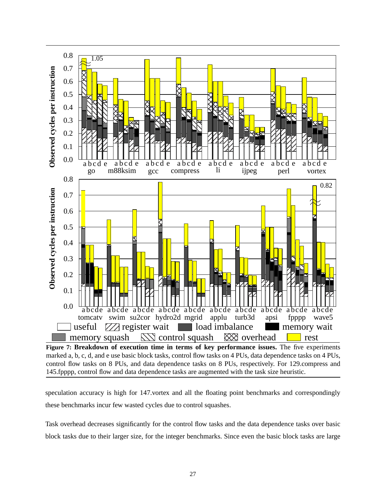

<span id="page-26-0"></span>marked a, b, c, d, and e use basic block tasks, control flow tasks on 4 PUs, data dependence tasks on 4 PUs, control flow tasks on 8 PUs, and data dependence tasks on 8 PUs, respectively. For 129.compress and 145.fpppp, control flow and data dependence tasks are augmented with the task size heuristic.

speculation accuracy is high for 147.vortex and all the floating point benchmarks and correspondingly these benchmarks incur few wasted cycles due to control squashes.

Task overhead decreases significantly for the control flow tasks and the data dependence tasks over basic block tasks due to their larger size, for the integer benchmarks. Since even the basic block tasks are large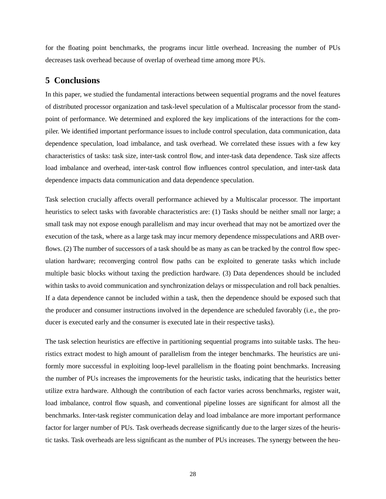for the floating point benchmarks, the programs incur little overhead. Increasing the number of PUs decreases task overhead because of overlap of overhead time among more PUs.

## <span id="page-27-0"></span>**5 Conclusions**

In this paper, we studied the fundamental interactions between sequential programs and the novel features of distributed processor organization and task-level speculation of a Multiscalar processor from the standpoint of performance. We determined and explored the key implications of the interactions for the compiler. We identified important performance issues to include control speculation, data communication, data dependence speculation, load imbalance, and task overhead. We correlated these issues with a few key characteristics of tasks: task size, inter-task control flow, and inter-task data dependence. Task size affects load imbalance and overhead, inter-task control flow influences control speculation, and inter-task data dependence impacts data communication and data dependence speculation.

Task selection crucially affects overall performance achieved by a Multiscalar processor. The important heuristics to select tasks with favorable characteristics are: (1) Tasks should be neither small nor large; a small task may not expose enough parallelism and may incur overhead that may not be amortized over the execution of the task, where as a large task may incur memory dependence misspeculations and ARB overflows. (2) The number of successors of a task should be as many as can be tracked by the control flow speculation hardware; reconverging control flow paths can be exploited to generate tasks which include multiple basic blocks without taxing the prediction hardware. (3) Data dependences should be included within tasks to avoid communication and synchronization delays or misspeculation and roll back penalties. If a data dependence cannot be included within a task, then the dependence should be exposed such that the producer and consumer instructions involved in the dependence are scheduled favorably (i.e., the producer is executed early and the consumer is executed late in their respective tasks).

The task selection heuristics are effective in partitioning sequential programs into suitable tasks. The heuristics extract modest to high amount of parallelism from the integer benchmarks. The heuristics are uniformly more successful in exploiting loop-level parallelism in the floating point benchmarks. Increasing the number of PUs increases the improvements for the heuristic tasks, indicating that the heuristics better utilize extra hardware. Although the contribution of each factor varies across benchmarks, register wait, load imbalance, control flow squash, and conventional pipeline losses are significant for almost all the benchmarks. Inter-task register communication delay and load imbalance are more important performance factor for larger number of PUs. Task overheads decrease significantly due to the larger sizes of the heuristic tasks. Task overheads are less significant as the number of PUs increases. The synergy between the heu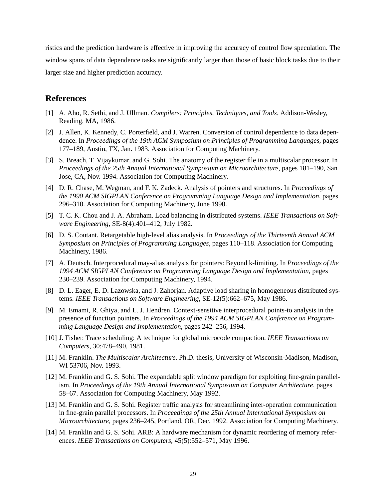ristics and the prediction hardware is effective in improving the accuracy of control flow speculation. The window spans of data dependence tasks are significantly larger than those of basic block tasks due to their larger size and higher prediction accuracy.

# **References**

- [1] A. Aho, R. Sethi, and J. Ullman. *Compilers: Principles, Techniques, and Tools*. Addison-Wesley, Reading, MA, 1986.
- [2] J. Allen, K. Kennedy, C. Porterfield, and J. Warren. Conversion of control dependence to data dependence. In *Proceedings of the 19th ACM Symposium on Principles of Programming Languages*, pages 177–189, Austin, TX, Jan. 1983. Association for Computing Machinery.
- [3] S. Breach, T. Vijaykumar, and G. Sohi. The anatomy of the register file in a multiscalar processor. In *Proceedings of the 25th Annual International Symposium on Microarchitecture*, pages 181–190, San Jose, CA, Nov. 1994. Association for Computing Machinery.
- [4] D. R. Chase, M. Wegman, and F. K. Zadeck. Analysis of pointers and structures. In *Proceedings of the 1990 ACM SIGPLAN Conference on Programming Language Design and Implementation*, pages 296–310. Association for Computing Machinery, June 1990.
- [5] T. C. K. Chou and J. A. Abraham. Load balancing in distributed systems. *IEEE Transactions on Software Engineering*, SE-8(4):401–412, July 1982.
- [6] D. S. Coutant. Retargetable high-level alias analysis. In *Proceedings of the Thirteenth Annual ACM Symposium on Principles of Programming Languages*, pages 110–118. Association for Computing Machinery, 1986.
- [7] A. Deutsch. Interprocedural may-alias analysis for pointers: Beyond k-limiting. In *Proceedings of the 1994 ACM SIGPLAN Conference on Programming Language Design and Implementation*, pages 230–239. Association for Computing Machinery, 1994.
- [8] D. L. Eager, E. D. Lazowska, and J. Zahorjan. Adaptive load sharing in homogeneous distributed systems. *IEEE Transactions on Software Engineering*, SE-12(5):662–675, May 1986.
- [9] M. Emami, R. Ghiya, and L. J. Hendren. Context-sensitive interprocedural points-to analysis in the presence of function pointers. In *Proceedings of the 1994 ACM SIGPLAN Conference on Programming Language Design and Implementation*, pages 242–256, 1994.
- [10] J. Fisher. Trace scheduling: A technique for global microcode compaction. *IEEE Transactions on Computers*, 30:478–490, 1981.
- [11] M. Franklin. *The Multiscalar Architecture*. Ph.D. thesis, University of Wisconsin-Madison, Madison, WI 53706, Nov. 1993.
- [12] M. Franklin and G. S. Sohi. The expandable split window paradigm for exploiting fine-grain parallelism. In *Proceedings of the 19th Annual International Symposium on Computer Architecture*, pages 58–67. Association for Computing Machinery, May 1992.
- [13] M. Franklin and G. S. Sohi. Register traffic analysis for streamlining inter-operation communication in fine-grain parallel processors. In *Proceedings of the 25th Annual International Symposium on Microarchitecture*, pages 236–245, Portland, OR, Dec. 1992. Association for Computing Machinery.
- [14] M. Franklin and G. S. Sohi. ARB: A hardware mechanism for dynamic reordering of memory references. *IEEE Transactions on Computers*, 45(5):552–571, May 1996.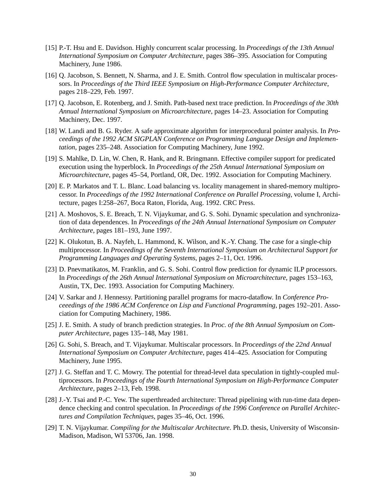- [15] P.-T. Hsu and E. Davidson. Highly concurrent scalar processing. In *Proceedings of the 13th Annual International Symposium on Computer Architecture*, pages 386–395. Association for Computing Machinery, June 1986.
- [16] Q. Jacobson, S. Bennett, N. Sharma, and J. E. Smith. Control flow speculation in multiscalar processors. In *Proceedings of the Third IEEE Symposium on High-Performance Computer Architecture*, pages 218–229, Feb. 1997.
- [17] Q. Jacobson, E. Rotenberg, and J. Smith. Path-based next trace prediction. In *Proceedings of the 30th Annual International Symposium on Microarchitecture*, pages 14–23. Association for Computing Machinery, Dec. 1997.
- [18] W. Landi and B. G. Ryder. A safe approximate algorithm for interprocedural pointer analysis. In *Proceedings of the 1992 ACM SIGPLAN Conference on Programming Language Design and Implementation*, pages 235–248. Association for Computing Machinery, June 1992.
- [19] S. Mahlke, D. Lin, W. Chen, R. Hank, and R. Bringmann. Effective compiler support for predicated execution using the hyperblock. In *Proceedings of the 25th Annual International Symposium on Microarchitecture*, pages 45–54, Portland, OR, Dec. 1992. Association for Computing Machinery.
- [20] E. P. Markatos and T. L. Blanc. Load balancing vs. locality management in shared-memory multiprocessor. In *Proceedings of the 1992 International Conference on Parallel Processing*, volume I, Architecture, pages I:258–267, Boca Raton, Florida, Aug. 1992. CRC Press.
- [21] A. Moshovos, S. E. Breach, T. N. Vijaykumar, and G. S. Sohi. Dynamic speculation and synchronization of data dependences. In *Proceedings of the 24th Annual International Symposium on Computer Architecture*, pages 181–193, June 1997.
- [22] K. Olukotun, B. A. Nayfeh, L. Hammond, K. Wilson, and K.-Y. Chang. The case for a single-chip multiprocessor. In *Proceedings of the Seventh International Symposium on Architectural Support for Programming Languages and Operating Systems*, pages 2–11, Oct. 1996.
- [23] D. Pnevmatikatos, M. Franklin, and G. S. Sohi. Control flow prediction for dynamic ILP processors. In *Proceedings of the 26th Annual International Symposium on Microarchitecture*, pages 153–163, Austin, TX, Dec. 1993. Association for Computing Machinery.
- [24] V. Sarkar and J. Hennessy. Partitioning parallel programs for macro-dataflow. In *Conference Proceeedings of the 1986 ACM Conference on Lisp and Functional Programming*, pages 192–201. Association for Computing Machinery, 1986.
- [25] J. E. Smith. A study of branch prediction strategies. In *Proc. of the 8th Annual Symposium on Computer Architecture*, pages 135–148, May 1981.
- [26] G. Sohi, S. Breach, and T. Vijaykumar. Multiscalar processors. In *Proceedings of the 22nd Annual International Symposium on Computer Architecture*, pages 414–425. Association for Computing Machinery, June 1995.
- [27] J. G. Steffan and T. C. Mowry. The potential for thread-level data speculation in tightly-coupled multiprocessors. In *Proceedings of the Fourth International Symposium on High-Performance Computer Architecture*, pages 2–13, Feb. 1998.
- [28] J.-Y. Tsai and P.-C. Yew. The superthreaded architecture: Thread pipelining with run-time data dependence checking and control speculation. In *Proceedings of the 1996 Conference on Parallel Architectures and Compilation Techniques*, pages 35–46, Oct. 1996.
- [29] T. N. Vijaykumar. *Compiling for the Multiscalar Architecture*. Ph.D. thesis, University of Wisconsin-Madison, Madison, WI 53706, Jan. 1998.